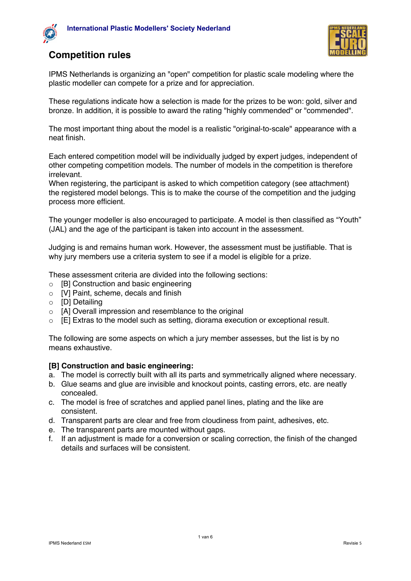



# **Competition rules**

IPMS Netherlands is organizing an "open" competition for plastic scale modeling where the plastic modeller can compete for a prize and for appreciation.

These regulations indicate how a selection is made for the prizes to be won: gold, silver and bronze. In addition, it is possible to award the rating "highly commended" or "commended".

The most important thing about the model is a realistic "original-to-scale" appearance with a neat finish.

Each entered competition model will be individually judged by expert judges, independent of other competing competition models. The number of models in the competition is therefore irrelevant.

When registering, the participant is asked to which competition category (see attachment) the registered model belongs. This is to make the course of the competition and the judging process more efficient.

The younger modeller is also encouraged to participate. A model is then classified as "Youth" (JAL) and the age of the participant is taken into account in the assessment.

Judging is and remains human work. However, the assessment must be justifiable. That is why jury members use a criteria system to see if a model is eligible for a prize.

These assessment criteria are divided into the following sections:

- o [B] Construction and basic engineering
- o [V] Paint, scheme, decals and finish
- o [D] Detailing
- o [A] Overall impression and resemblance to the original
- o [E] Extras to the model such as setting, diorama execution or exceptional result.

The following are some aspects on which a jury member assesses, but the list is by no means exhaustive.

#### **[B] Construction and basic engineering:**

- a. The model is correctly built with all its parts and symmetrically aligned where necessary.
- b. Glue seams and glue are invisible and knockout points, casting errors, etc. are neatly concealed.
- c. The model is free of scratches and applied panel lines, plating and the like are consistent.
- d. Transparent parts are clear and free from cloudiness from paint, adhesives, etc.
- e. The transparent parts are mounted without gaps.
- f. If an adjustment is made for a conversion or scaling correction, the finish of the changed details and surfaces will be consistent.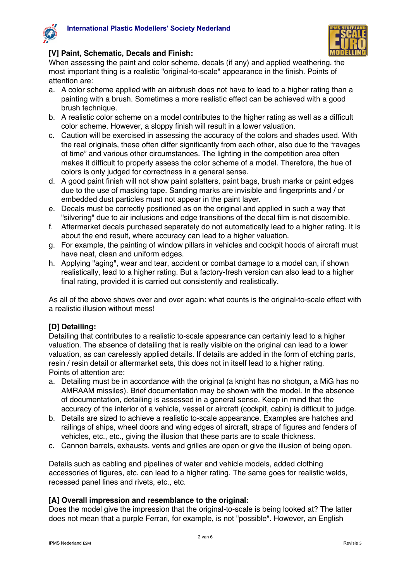



## **[V] Paint, Schematic, Decals and Finish:**

When assessing the paint and color scheme, decals (if any) and applied weathering, the most important thing is a realistic "original-to-scale" appearance in the finish. Points of attention are:

- a. A color scheme applied with an airbrush does not have to lead to a higher rating than a painting with a brush. Sometimes a more realistic effect can be achieved with a good brush technique.
- b. A realistic color scheme on a model contributes to the higher rating as well as a difficult color scheme. However, a sloppy finish will result in a lower valuation.
- c. Caution will be exercised in assessing the accuracy of the colors and shades used. With the real originals, these often differ significantly from each other, also due to the "ravages of time" and various other circumstances. The lighting in the competition area often makes it difficult to properly assess the color scheme of a model. Therefore, the hue of colors is only judged for correctness in a general sense.
- d. A good paint finish will not show paint splatters, paint bags, brush marks or paint edges due to the use of masking tape. Sanding marks are invisible and fingerprints and / or embedded dust particles must not appear in the paint layer.
- e. Decals must be correctly positioned as on the original and applied in such a way that "silvering" due to air inclusions and edge transitions of the decal film is not discernible.
- f. Aftermarket decals purchased separately do not automatically lead to a higher rating. It is about the end result, where accuracy can lead to a higher valuation.
- g. For example, the painting of window pillars in vehicles and cockpit hoods of aircraft must have neat, clean and uniform edges.
- h. Applying "aging", wear and tear, accident or combat damage to a model can, if shown realistically, lead to a higher rating. But a factory-fresh version can also lead to a higher final rating, provided it is carried out consistently and realistically.

As all of the above shows over and over again: what counts is the original-to-scale effect with a realistic illusion without mess!

### **[D] Detailing:**

Detailing that contributes to a realistic to-scale appearance can certainly lead to a higher valuation. The absence of detailing that is really visible on the original can lead to a lower valuation, as can carelessly applied details. If details are added in the form of etching parts, resin / resin detail or aftermarket sets, this does not in itself lead to a higher rating. Points of attention are:

- a. Detailing must be in accordance with the original (a knight has no shotgun, a MiG has no AMRAAM missiles). Brief documentation may be shown with the model. In the absence of documentation, detailing is assessed in a general sense. Keep in mind that the accuracy of the interior of a vehicle, vessel or aircraft (cockpit, cabin) is difficult to judge.
- b. Details are sized to achieve a realistic to-scale appearance. Examples are hatches and railings of ships, wheel doors and wing edges of aircraft, straps of figures and fenders of vehicles, etc., etc., giving the illusion that these parts are to scale thickness.
- c. Cannon barrels, exhausts, vents and grilles are open or give the illusion of being open.

Details such as cabling and pipelines of water and vehicle models, added clothing accessories of figures, etc. can lead to a higher rating. The same goes for realistic welds, recessed panel lines and rivets, etc., etc.

### **[A] Overall impression and resemblance to the original:**

Does the model give the impression that the original-to-scale is being looked at? The latter does not mean that a purple Ferrari, for example, is not "possible". However, an English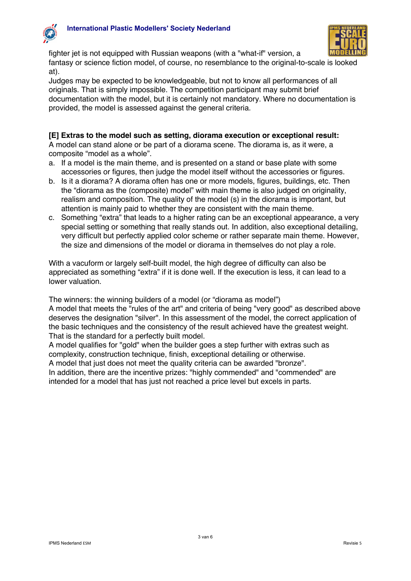



fighter jet is not equipped with Russian weapons (with a "what-if" version, a fantasy or science fiction model, of course, no resemblance to the original-to-scale is looked at).

Judges may be expected to be knowledgeable, but not to know all performances of all originals. That is simply impossible. The competition participant may submit brief documentation with the model, but it is certainly not mandatory. Where no documentation is provided, the model is assessed against the general criteria.

## **[E] Extras to the model such as setting, diorama execution or exceptional result:**

A model can stand alone or be part of a diorama scene. The diorama is, as it were, a composite "model as a whole".

- a. If a model is the main theme, and is presented on a stand or base plate with some accessories or figures, then judge the model itself without the accessories or figures.
- b. Is it a diorama? A diorama often has one or more models, figures, buildings, etc. Then the "diorama as the (composite) model" with main theme is also judged on originality, realism and composition. The quality of the model (s) in the diorama is important, but attention is mainly paid to whether they are consistent with the main theme.
- c. Something "extra" that leads to a higher rating can be an exceptional appearance, a very special setting or something that really stands out. In addition, also exceptional detailing, very difficult but perfectly applied color scheme or rather separate main theme. However, the size and dimensions of the model or diorama in themselves do not play a role.

With a vacuform or largely self-built model, the high degree of difficulty can also be appreciated as something "extra" if it is done well. If the execution is less, it can lead to a lower valuation.

The winners: the winning builders of a model (or "diorama as model") A model that meets the "rules of the art" and criteria of being "very good" as described above deserves the designation "silver". In this assessment of the model, the correct application of the basic techniques and the consistency of the result achieved have the greatest weight. That is the standard for a perfectly built model.

A model qualifies for "gold" when the builder goes a step further with extras such as complexity, construction technique, finish, exceptional detailing or otherwise.

A model that just does not meet the quality criteria can be awarded "bronze".

In addition, there are the incentive prizes: "highly commended" and "commended" are intended for a model that has just not reached a price level but excels in parts.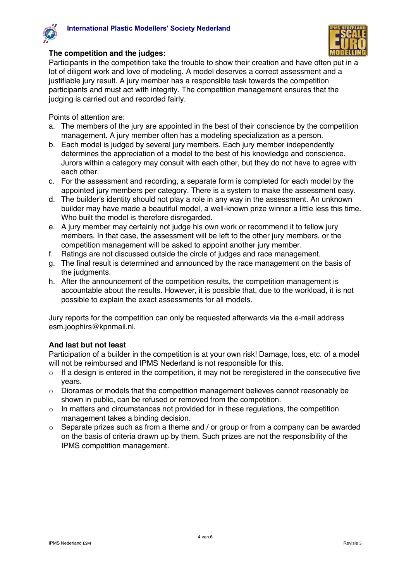



#### **The competition and the judges:**

Participants in the competition take the trouble to show their creation and have often put in a lot of diligent work and love of modeling. A model deserves a correct assessment and a justifiable jury result. A jury member has a responsible task towards the competition participants and must act with integrity. The competition management ensures that the judging is carried out and recorded fairly.

Points of attention are:

- a. The members of the jury are appointed in the best of their conscience by the competition management. A jury member often has a modeling specialization as a person.
- b. Each model is judged by several jury members. Each jury member independently determines the appreciation of a model to the best of his knowledge and conscience. Jurors within a category may consult with each other, but they do not have to agree with each other.
- c. For the assessment and recording, a separate form is completed for each model by the appointed jury members per category. There is a system to make the assessment easy.
- d. The builder's identity should not play a role in any way in the assessment. An unknown builder may have made a beautiful model, a well-known prize winner a little less this time. Who built the model is therefore disregarded.
- e. A jury member may certainly not judge his own work or recommend it to fellow jury members. In that case, the assessment will be left to the other jury members, or the competition management will be asked to appoint another jury member.
- f. Ratings are not discussed outside the circle of judges and race management.
- g. The final result is determined and announced by the race management on the basis of the judgments.
- h. After the announcement of the competition results, the competition management is accountable about the results. However, it is possible that, due to the workload, it is not possible to explain the exact assessments for all models.

Jury reports for the competition can only be requested afterwards via the e-mail address esm.joophirs@kpnmail.nl.

### **And last but not least**

Participation of a builder in the competition is at your own risk! Damage, loss, etc. of a model will not be reimbursed and IPMS Nederland is not responsible for this.

- $\circ$  If a design is entered in the competition, it may not be reregistered in the consecutive five years.
- $\circ$  Dioramas or models that the competition management believes cannot reasonably be shown in public, can be refused or removed from the competition.
- $\circ$  In matters and circumstances not provided for in these regulations, the competition management takes a binding decision.
- $\circ$  Separate prizes such as from a theme and / or group or from a company can be awarded on the basis of criteria drawn up by them. Such prizes are not the responsibility of the IPMS competition management.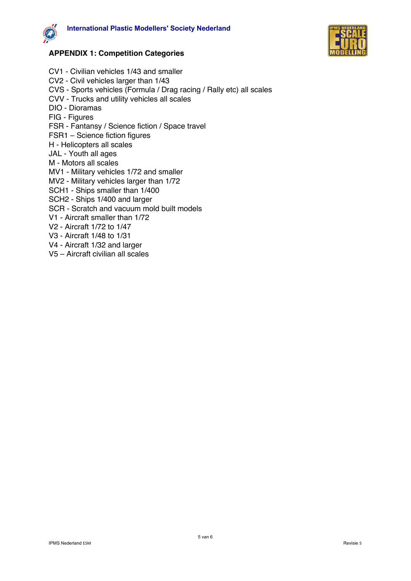



# **APPENDIX 1: Competition Categories**

- CV1 Civilian vehicles 1/43 and smaller CV2 - Civil vehicles larger than 1/43 CVS - Sports vehicles (Formula / Drag racing / Rally etc) all scales CVV - Trucks and utility vehicles all scales DIO - Dioramas FIG - Figures FSR - Fantansy / Science fiction / Space travel FSR1 – Science fiction figures H - Helicopters all scales JAL - Youth all ages M - Motors all scales MV1 - Military vehicles 1/72 and smaller MV2 - Military vehicles larger than 1/72 SCH1 - Ships smaller than 1/400 SCH2 - Ships 1/400 and larger SCR - Scratch and vacuum mold built models V1 - Aircraft smaller than 1/72 V2 - Aircraft 1/72 to 1/47 V3 - Aircraft 1/48 to 1/31
- V4 Aircraft 1/32 and larger
- V5 Aircraft civilian all scales